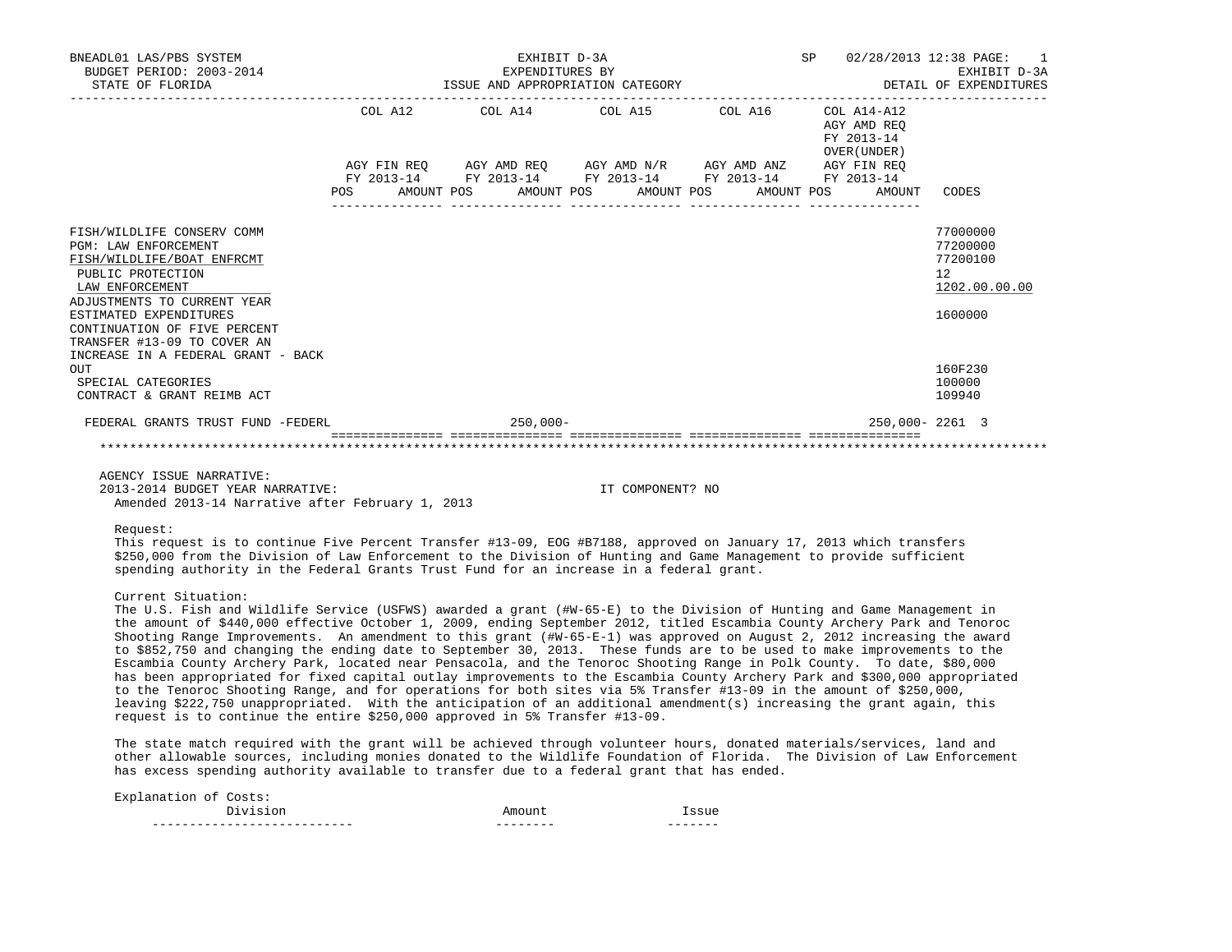| BNEADL01 LAS/PBS SYSTEM<br>BUDGET PERIOD: 2003-2014<br>STATE OF FLORIDA                                                                                                                                                                                                                                                                                                                                                                                                                                                                                                                                                                                   |                      | EXHIBIT D-3A<br>EXPENDITURES BY | ISSUE AND APPROPRIATION CATEGORY              |                                                                                                                                     | SP and the set of the set of the set of the set of the set of the set of the set of the set of the set of the set of the set of the set of the set of the set of the set of the set of the set of the set of the set of the se | 02/28/2013 12:38 PAGE: 1<br>EXHIBIT D-3A<br>DETAIL OF EXPENDITURES |
|-----------------------------------------------------------------------------------------------------------------------------------------------------------------------------------------------------------------------------------------------------------------------------------------------------------------------------------------------------------------------------------------------------------------------------------------------------------------------------------------------------------------------------------------------------------------------------------------------------------------------------------------------------------|----------------------|---------------------------------|-----------------------------------------------|-------------------------------------------------------------------------------------------------------------------------------------|--------------------------------------------------------------------------------------------------------------------------------------------------------------------------------------------------------------------------------|--------------------------------------------------------------------|
|                                                                                                                                                                                                                                                                                                                                                                                                                                                                                                                                                                                                                                                           | AMOUNT POS<br>POS DO |                                 | COL A12 COL A14 COL A15 COL A16<br>AMOUNT POS | AGY FIN REQ AGY AMD REQ AGY AMD N/R AGY AMD ANZ AGY FIN REQ<br>FY 2013-14 FY 2013-14 FY 2013-14 FY 2013-14 FY 2013-14<br>AMOUNT POS | COL A14-A12<br>AGY AMD REO<br>FY 2013-14<br>OVER (UNDER)<br>AMOUNT POS<br>AMOUNT                                                                                                                                               | CODES                                                              |
| FISH/WILDLIFE CONSERV COMM<br><b>PGM: LAW ENFORCEMENT</b><br>FISH/WILDLIFE/BOAT ENFRCMT<br>PUBLIC PROTECTION<br>LAW ENFORCEMENT<br>ADJUSTMENTS TO CURRENT YEAR<br>ESTIMATED EXPENDITURES<br>CONTINUATION OF FIVE PERCENT<br>TRANSFER #13-09 TO COVER AN                                                                                                                                                                                                                                                                                                                                                                                                   |                      |                                 |                                               |                                                                                                                                     |                                                                                                                                                                                                                                | 77000000<br>77200000<br>77200100<br>12<br>1202.00.00.00<br>1600000 |
| INCREASE IN A FEDERAL GRANT - BACK<br>OUT<br>SPECIAL CATEGORIES<br>CONTRACT & GRANT REIMB ACT                                                                                                                                                                                                                                                                                                                                                                                                                                                                                                                                                             |                      |                                 |                                               |                                                                                                                                     |                                                                                                                                                                                                                                | 160F230<br>100000<br>109940                                        |
| FEDERAL GRANTS TRUST FUND -FEDERL                                                                                                                                                                                                                                                                                                                                                                                                                                                                                                                                                                                                                         |                      | $250,000 -$                     |                                               |                                                                                                                                     | 250,000-2261 3                                                                                                                                                                                                                 |                                                                    |
|                                                                                                                                                                                                                                                                                                                                                                                                                                                                                                                                                                                                                                                           |                      |                                 |                                               |                                                                                                                                     |                                                                                                                                                                                                                                |                                                                    |
| AGENCY ISSUE NARRATIVE:<br>2013-2014 BUDGET YEAR NARRATIVE:<br>Amended 2013-14 Narrative after February 1, 2013                                                                                                                                                                                                                                                                                                                                                                                                                                                                                                                                           |                      |                                 | IT COMPONENT? NO                              |                                                                                                                                     |                                                                                                                                                                                                                                |                                                                    |
| Request:<br>This request is to continue Five Percent Transfer #13-09, EOG #B7188, approved on January 17, 2013 which transfers<br>\$250,000 from the Division of Law Enforcement to the Division of Hunting and Game Management to provide sufficient<br>spending authority in the Federal Grants Trust Fund for an increase in a federal grant.                                                                                                                                                                                                                                                                                                          |                      |                                 |                                               |                                                                                                                                     |                                                                                                                                                                                                                                |                                                                    |
| Current Situation:<br>The U.S. Fish and Wildlife Service (USFWS) awarded a grant (#W-65-E) to the Division of Hunting and Game Management in<br>the amount of \$440,000 effective October 1, 2009, ending September 2012, titled Escambia County Archery Park and Tenoroc<br>Shooting Range Improvements. An amendment to this grant (#W-65-E-1) was approved on August 2, 2012 increasing the award<br>to \$852,750 and changing the ending date to September 30, 2013. These funds are to be used to make improvements to the<br>Escambia County Archery Park, located near Pensacola, and the Tenoroc Shooting Range in Polk County. To date, \$80,000 |                      |                                 |                                               |                                                                                                                                     |                                                                                                                                                                                                                                |                                                                    |

 has been appropriated for fixed capital outlay improvements to the Escambia County Archery Park and \$300,000 appropriated to the Tenoroc Shooting Range, and for operations for both sites via 5% Transfer #13-09 in the amount of \$250,000, leaving \$222,750 unappropriated. With the anticipation of an additional amendment(s) increasing the grant again, this request is to continue the entire \$250,000 approved in 5% Transfer #13-09.

 The state match required with the grant will be achieved through volunteer hours, donated materials/services, land and other allowable sources, including monies donated to the Wildlife Foundation of Florida. The Division of Law Enforcement has excess spending authority available to transfer due to a federal grant that has ended.

| Explanation of Costs: |        |       |
|-----------------------|--------|-------|
| Division              | Amount | CCI16 |
|                       |        |       |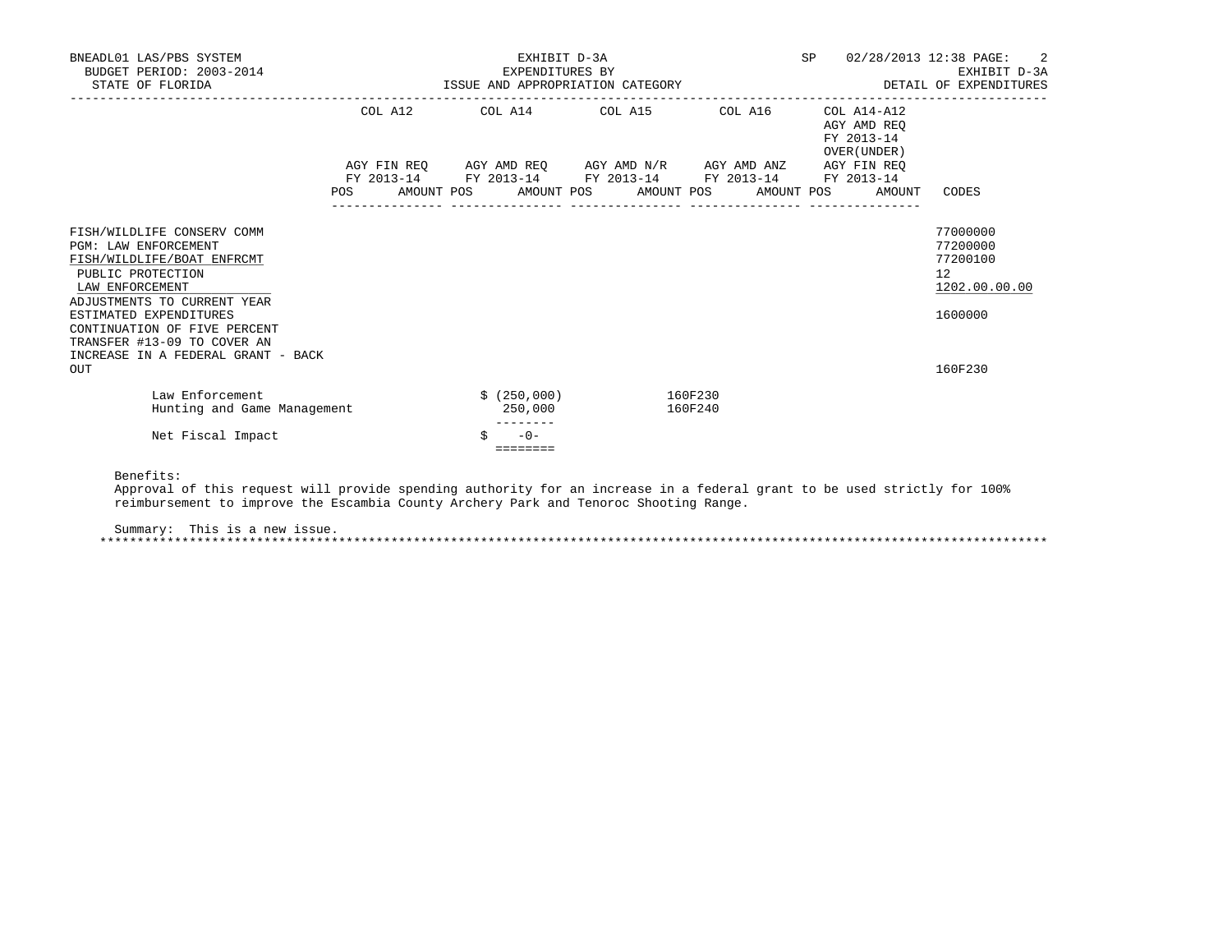| BNEADL01 LAS/PBS SYSTEM<br>BUDGET PERIOD: 2003-2014<br>STATE OF FLORIDA                                                                                                                                                                                                                       | EXHIBIT D-3A<br>EXPENDITURES BY<br>ISSUE AND APPROPRIATION CATEGORY |  |  |                         |  |                                                                                            |                    |            |                                                          | SP 02/28/2013 12:38 PAGE: 2<br>EXHIBIT D-3A<br>DETAIL OF EXPENDITURES         |
|-----------------------------------------------------------------------------------------------------------------------------------------------------------------------------------------------------------------------------------------------------------------------------------------------|---------------------------------------------------------------------|--|--|-------------------------|--|--------------------------------------------------------------------------------------------|--------------------|------------|----------------------------------------------------------|-------------------------------------------------------------------------------|
|                                                                                                                                                                                                                                                                                               |                                                                     |  |  |                         |  | COL A12 COL A14 COL A15 COL A16                                                            |                    |            | COL A14-A12<br>AGY AMD REO<br>FY 2013-14<br>OVER (UNDER) |                                                                               |
|                                                                                                                                                                                                                                                                                               |                                                                     |  |  |                         |  | AGY FIN REQ AGY AMD REQ AGY AMD N/R AGY AMD ANZ AGY FIN REQ                                |                    |            |                                                          |                                                                               |
|                                                                                                                                                                                                                                                                                               | POS DO                                                              |  |  |                         |  | FY 2013-14 FY 2013-14 FY 2013-14 FY 2013-14 FY 2013-14<br>AMOUNT POS AMOUNT POS AMOUNT POS |                    | AMOUNT POS | AMOUNT                                                   | CODES                                                                         |
| FISH/WILDLIFE CONSERV COMM<br>PGM: LAW ENFORCEMENT<br>FISH/WILDLIFE/BOAT ENFRCMT<br>PUBLIC PROTECTION<br>LAW ENFORCEMENT<br>ADJUSTMENTS TO CURRENT YEAR<br>ESTIMATED EXPENDITURES<br>CONTINUATION OF FIVE PERCENT<br>TRANSFER #13-09 TO COVER AN<br>INCREASE IN A FEDERAL GRANT - BACK<br>OUT |                                                                     |  |  |                         |  |                                                                                            |                    |            |                                                          | 77000000<br>77200000<br>77200100<br>12<br>1202.00.00.00<br>1600000<br>160F230 |
| Law Enforcement<br>Hunting and Game Management                                                                                                                                                                                                                                                |                                                                     |  |  | \$ (250,000)<br>250,000 |  |                                                                                            | 160F230<br>160F240 |            |                                                          |                                                                               |
| Net Fiscal Impact                                                                                                                                                                                                                                                                             |                                                                     |  |  | $-0-$<br>========       |  |                                                                                            |                    |            |                                                          |                                                                               |

Benefits:

 Approval of this request will provide spending authority for an increase in a federal grant to be used strictly for 100% reimbursement to improve the Escambia County Archery Park and Tenoroc Shooting Range.

Summary: This is a new issue.

\*\*\*\*\*\*\*\*\*\*\*\*\*\*\*\*\*\*\*\*\*\*\*\*\*\*\*\*\*\*\*\*\*\*\*\*\*\*\*\*\*\*\*\*\*\*\*\*\*\*\*\*\*\*\*\*\*\*\*\*\*\*\*\*\*\*\*\*\*\*\*\*\*\*\*\*\*\*\*\*\*\*\*\*\*\*\*\*\*\*\*\*\*\*\*\*\*\*\*\*\*\*\*\*\*\*\*\*\*\*\*\*\*\*\*\*\*\*\*\*\*\*\*\*\*\*\*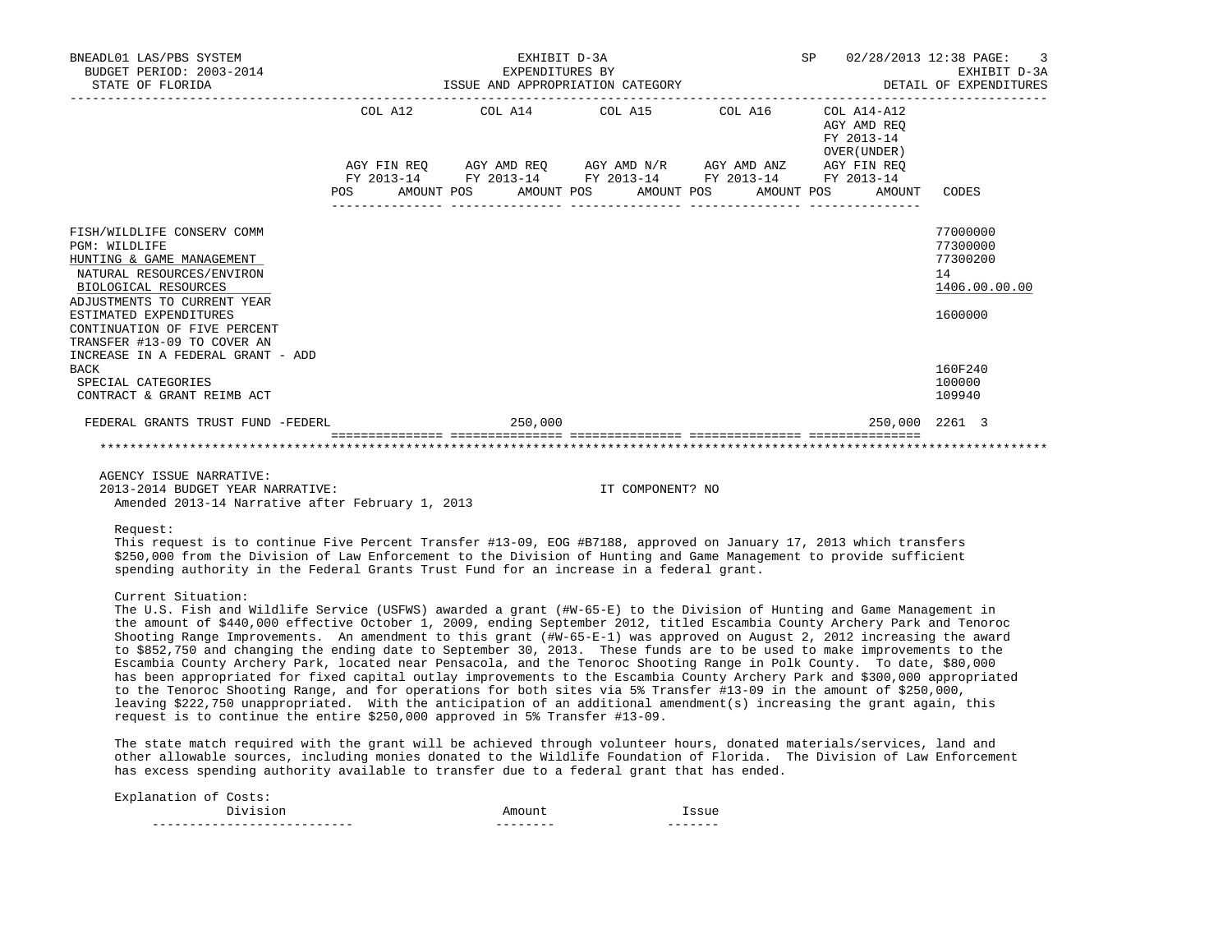| BNEADL01 LAS/PBS SYSTEM<br>BUDGET PERIOD: 2003-2014<br>STATE OF FLORIDA                                                                                                                                                                                                                                                                                       |  | EXHIBIT D-3A<br>EXPENDITURES BY | ISSUE AND APPROPRIATION CATEGORY                                                                                                                                                                                                                                                                                                                                                                       |  | SP 02/28/2013 12:38 PAGE: 3<br>EXHIBIT D-3A<br>DETAIL OF EXPENDITURES |                                                                                                   |  |
|---------------------------------------------------------------------------------------------------------------------------------------------------------------------------------------------------------------------------------------------------------------------------------------------------------------------------------------------------------------|--|---------------------------------|--------------------------------------------------------------------------------------------------------------------------------------------------------------------------------------------------------------------------------------------------------------------------------------------------------------------------------------------------------------------------------------------------------|--|-----------------------------------------------------------------------|---------------------------------------------------------------------------------------------------|--|
|                                                                                                                                                                                                                                                                                                                                                               |  |                                 | COL A12 COL A14 COL A15 COL A16 COL A14-A12                                                                                                                                                                                                                                                                                                                                                            |  | AGY AMD REO<br>FY 2013-14<br>OVER (UNDER)                             |                                                                                                   |  |
|                                                                                                                                                                                                                                                                                                                                                               |  |                                 | $\begin{array}{lllllll} \text{AGY}\ \text{FIN}\ \text{REQ} \qquad & \text{AGY}\ \text{AMD}\ \text{REQ} \qquad & \text{AGY}\ \text{AMD}\ \text{N/R} \qquad & \text{AGY}\ \text{AMD}\ \text{RSC} \qquad & \text{AGY}\ \text{EN}\ \text{REQ} \qquad & \text{TY}\ 2013\text{--}14 \qquad & \text{FY}\ 2013\text{--}14 \qquad & \text{FY}\ 2013\text{--}14 \qquad & \text{FY}\ 2013\text{--}14 \end{array}$ |  |                                                                       |                                                                                                   |  |
|                                                                                                                                                                                                                                                                                                                                                               |  |                                 | POS AMOUNT POS AMOUNT POS AMOUNT POS AMOUNT POS                                                                                                                                                                                                                                                                                                                                                        |  | AMOUNT                                                                | CODES                                                                                             |  |
| FISH/WILDLIFE CONSERV COMM<br>PGM: WILDLIFE<br>HUNTING & GAME MANAGEMENT<br>NATURAL RESOURCES/ENVIRON<br>BIOLOGICAL RESOURCES<br>ADJUSTMENTS TO CURRENT YEAR<br>ESTIMATED EXPENDITURES<br>CONTINUATION OF FIVE PERCENT<br>TRANSFER #13-09 TO COVER AN<br>INCREASE IN A FEDERAL GRANT - ADD<br><b>BACK</b><br>SPECIAL CATEGORIES<br>CONTRACT & GRANT REIMB ACT |  |                                 |                                                                                                                                                                                                                                                                                                                                                                                                        |  |                                                                       | 77000000<br>77300000<br>77300200<br>14<br>1406.00.00.00<br>1600000<br>160F240<br>100000<br>109940 |  |
| FEDERAL GRANTS TRUST FUND -FEDERL CONTROL CONTROL 250,000                                                                                                                                                                                                                                                                                                     |  |                                 |                                                                                                                                                                                                                                                                                                                                                                                                        |  | 250,000 2261 3                                                        |                                                                                                   |  |
|                                                                                                                                                                                                                                                                                                                                                               |  |                                 |                                                                                                                                                                                                                                                                                                                                                                                                        |  |                                                                       |                                                                                                   |  |
| AGENCY ISSUE NARRATIVE:<br>2013-2014 BUDGET YEAR NARRATIVE:<br>Amended 2013-14 Narrative after February 1, 2013                                                                                                                                                                                                                                               |  |                                 | IT COMPONENT? NO                                                                                                                                                                                                                                                                                                                                                                                       |  |                                                                       |                                                                                                   |  |
| Request:<br>This request is to continue Five Percent Transfer #13-09, EOG #B7188, approved on January 17, 2013 which transfers<br>\$250,000 from the Division of Law Enforcement to the Division of Hunting and Game Management to provide sufficient<br>spending authority in the Federal Grants Trust Fund for an increase in a federal grant.              |  |                                 |                                                                                                                                                                                                                                                                                                                                                                                                        |  |                                                                       |                                                                                                   |  |

Current Situation:

 The U.S. Fish and Wildlife Service (USFWS) awarded a grant (#W-65-E) to the Division of Hunting and Game Management in the amount of \$440,000 effective October 1, 2009, ending September 2012, titled Escambia County Archery Park and Tenoroc Shooting Range Improvements. An amendment to this grant  $(\text{#W-65-E-1})$  was approved on August 2, 2012 increasing the award to \$852,750 and changing the ending date to September 30, 2013. These funds are to be used to make improvements to the Escambia County Archery Park, located near Pensacola, and the Tenoroc Shooting Range in Polk County. To date, \$80,000 has been appropriated for fixed capital outlay improvements to the Escambia County Archery Park and \$300,000 appropriated to the Tenoroc Shooting Range, and for operations for both sites via 5% Transfer #13-09 in the amount of \$250,000, leaving \$222,750 unappropriated. With the anticipation of an additional amendment(s) increasing the grant again, this request is to continue the entire \$250,000 approved in 5% Transfer #13-09.

 The state match required with the grant will be achieved through volunteer hours, donated materials/services, land and other allowable sources, including monies donated to the Wildlife Foundation of Florida. The Division of Law Enforcement has excess spending authority available to transfer due to a federal grant that has ended.

| Explanation of Costs: |        |       |
|-----------------------|--------|-------|
| Division              | Amount | "SSUA |
|                       |        |       |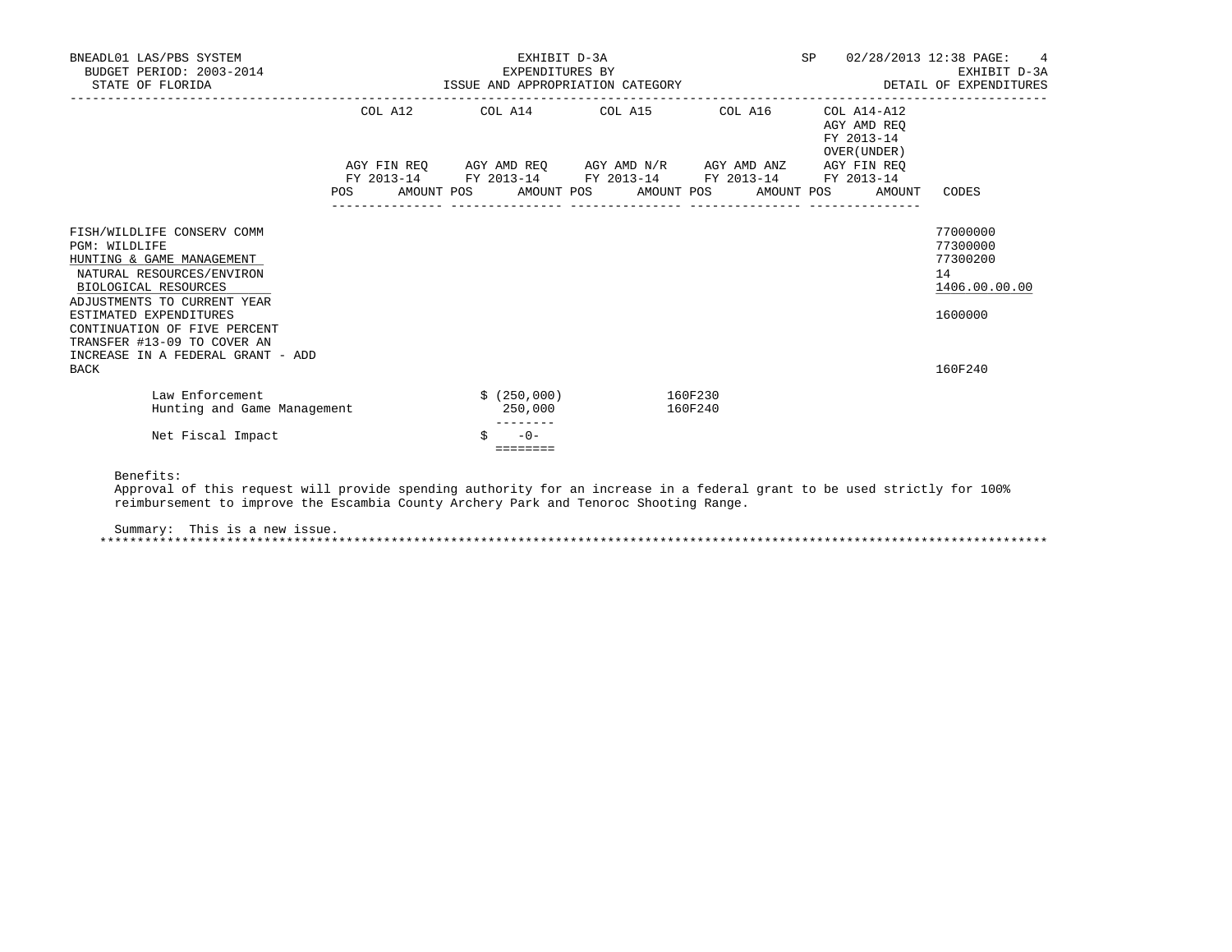| BNEADL01 LAS/PBS SYSTEM<br>BUDGET PERIOD: 2003-2014<br>STATE OF FLORIDA                                                                                                                                                                                                                            | EXHIBIT D-3A<br>SP<br>EXPENDITURES BY<br>ISSUE AND APPROPRIATION CATEGORY |  |  |                   |                       |  |                                                                                                       |  |                                                          | 02/28/2013 12:38 PAGE:<br>4<br>EXHIBIT D-3A<br>DETAIL OF EXPENDITURES         |  |
|----------------------------------------------------------------------------------------------------------------------------------------------------------------------------------------------------------------------------------------------------------------------------------------------------|---------------------------------------------------------------------------|--|--|-------------------|-----------------------|--|-------------------------------------------------------------------------------------------------------|--|----------------------------------------------------------|-------------------------------------------------------------------------------|--|
|                                                                                                                                                                                                                                                                                                    |                                                                           |  |  |                   |                       |  | COL A12 COL A14 COL A15 COL A16<br>AGY FIN REQ AGY AMD REQ AGY AMD N/R AGY AMD ANZ AGY FIN REQ        |  | COL A14-A12<br>AGY AMD REO<br>FY 2013-14<br>OVER (UNDER) |                                                                               |  |
|                                                                                                                                                                                                                                                                                                    | POS DO                                                                    |  |  |                   |                       |  | FY 2013-14 FY 2013-14 FY 2013-14 FY 2013-14 FY 2013-14<br>AMOUNT POS AMOUNT POS AMOUNT POS AMOUNT POS |  | AMOUNT                                                   | CODES                                                                         |  |
| FISH/WILDLIFE CONSERV COMM<br>PGM: WILDLIFE<br>HUNTING & GAME MANAGEMENT<br>NATURAL RESOURCES/ENVIRON<br>BIOLOGICAL RESOURCES<br>ADJUSTMENTS TO CURRENT YEAR<br>ESTIMATED EXPENDITURES<br>CONTINUATION OF FIVE PERCENT<br>TRANSFER #13-09 TO COVER AN<br>INCREASE IN A FEDERAL GRANT - ADD<br>BACK |                                                                           |  |  |                   |                       |  |                                                                                                       |  |                                                          | 77000000<br>77300000<br>77300200<br>14<br>1406.00.00.00<br>1600000<br>160F240 |  |
| Law Enforcement<br>Hunting and Game Management                                                                                                                                                                                                                                                     |                                                                           |  |  | 250,000           | $$ (250,000)$ 160F230 |  | 160F240                                                                                               |  |                                                          |                                                                               |  |
| Net Fiscal Impact                                                                                                                                                                                                                                                                                  |                                                                           |  |  | $-0-$<br>======== |                       |  |                                                                                                       |  |                                                          |                                                                               |  |

Benefits:

 Approval of this request will provide spending authority for an increase in a federal grant to be used strictly for 100% reimbursement to improve the Escambia County Archery Park and Tenoroc Shooting Range.

Summary: This is a new issue.

\*\*\*\*\*\*\*\*\*\*\*\*\*\*\*\*\*\*\*\*\*\*\*\*\*\*\*\*\*\*\*\*\*\*\*\*\*\*\*\*\*\*\*\*\*\*\*\*\*\*\*\*\*\*\*\*\*\*\*\*\*\*\*\*\*\*\*\*\*\*\*\*\*\*\*\*\*\*\*\*\*\*\*\*\*\*\*\*\*\*\*\*\*\*\*\*\*\*\*\*\*\*\*\*\*\*\*\*\*\*\*\*\*\*\*\*\*\*\*\*\*\*\*\*\*\*\*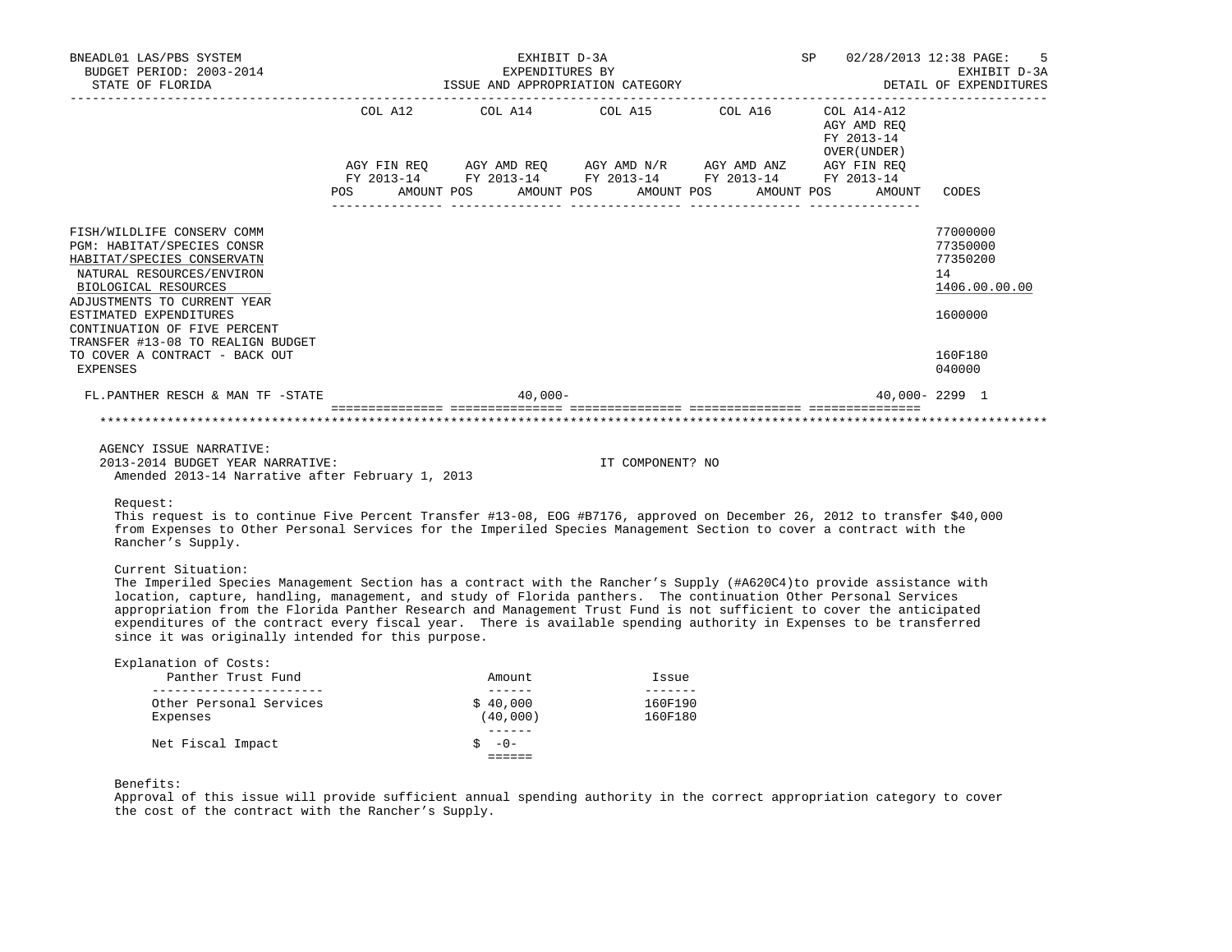| BNEADL01 LAS/PBS SYSTEM<br>BUDGET PERIOD: 2003-2014<br>STATE OF FLORIDA                                                                                                                                                                                                                                                        |                |  | EXHIBIT D-3A<br>EXPENDITURES BY |                                                             |            |                                           | SP 02/28/2013 12:38 PAGE: 5<br>EXHIBIT D-3A<br>EXPENDITURES BY EXHIBIT $D-3A$ EXPENDITURES BY EXHIBIT $D-3A$ DETAIL OF EXPENDITURES |
|--------------------------------------------------------------------------------------------------------------------------------------------------------------------------------------------------------------------------------------------------------------------------------------------------------------------------------|----------------|--|---------------------------------|-------------------------------------------------------------|------------|-------------------------------------------|-------------------------------------------------------------------------------------------------------------------------------------|
|                                                                                                                                                                                                                                                                                                                                |                |  |                                 | COL A12 COL A14 COL A15 COL A16 COL A14-A12                 |            | AGY AMD REO<br>FY 2013-14<br>OVER (UNDER) |                                                                                                                                     |
|                                                                                                                                                                                                                                                                                                                                |                |  |                                 | AGY FIN REQ AGY AMD REQ AGY AMD N/R AGY AMD ANZ AGY FIN REQ |            |                                           |                                                                                                                                     |
|                                                                                                                                                                                                                                                                                                                                |                |  |                                 | FY 2013-14 FY 2013-14 FY 2013-14 FY 2013-14 FY 2013-14      |            |                                           |                                                                                                                                     |
|                                                                                                                                                                                                                                                                                                                                | POS AMOUNT POS |  |                                 | AMOUNT POS AMOUNT POS                                       | AMOUNT POS | AMOUNT                                    | CODES                                                                                                                               |
| FISH/WILDLIFE CONSERV COMM<br><b>PGM: HABITAT/SPECIES CONSR</b><br>HABITAT/SPECIES CONSERVATN<br>NATURAL RESOURCES/ENVIRON<br>BIOLOGICAL RESOURCES<br>ADJUSTMENTS TO CURRENT YEAR<br>ESTIMATED EXPENDITURES<br>CONTINUATION OF FIVE PERCENT<br>TRANSFER #13-08 TO REALIGN BUDGET<br>TO COVER A CONTRACT - BACK OUT<br>EXPENSES |                |  |                                 |                                                             |            |                                           | 77000000<br>77350000<br>77350200<br>14<br>1406.00.00.00<br>1600000<br>160F180<br>040000                                             |
| FL.PANTHER RESCH & MAN TF -STATE                                                                                                                                                                                                                                                                                               |                |  | $40.000 -$                      |                                                             |            |                                           | $40.000 - 2299$ 1                                                                                                                   |
|                                                                                                                                                                                                                                                                                                                                |                |  |                                 |                                                             |            |                                           |                                                                                                                                     |
| AGENCY ISSUE NARRATIVE:<br>$0.012, 0.014, 0.000, 0.000, 0.000, 0.000, 0.000, 0.000, 0.000, 0.000, 0.000, 0.000, 0.000, 0.000, 0.000, 0.000, 0.000, 0.000, 0.000, 0.000, 0.000, 0.000, 0.000, 0.000, 0.000, 0.000, 0.000, 0.000, 0.000, 0.000, 0.000, 0.0$                                                                      |                |  |                                 | $\tau = 201503$                                             |            |                                           |                                                                                                                                     |

 2013-2014 BUDGET YEAR NARRATIVE: IT COMPONENT? NO Amended 2013-14 Narrative after February 1, 2013

Request:

 This request is to continue Five Percent Transfer #13-08, EOG #B7176, approved on December 26, 2012 to transfer \$40,000 from Expenses to Other Personal Services for the Imperiled Species Management Section to cover a contract with the Rancher's Supply.

## Current Situation:

 The Imperiled Species Management Section has a contract with the Rancher's Supply (#A620C4)to provide assistance with location, capture, handling, management, and study of Florida panthers. The continuation Other Personal Services appropriation from the Florida Panther Research and Management Trust Fund is not sufficient to cover the anticipated expenditures of the contract every fiscal year. There is available spending authority in Expenses to be transferred since it was originally intended for this purpose.

| Explanation of Costs:   |          |         |
|-------------------------|----------|---------|
| Panther Trust Fund      | Amount   | Issue   |
|                         |          |         |
| Other Personal Services | \$40,000 | 160F190 |
| Expenses                | (40,000) | 160F180 |
|                         |          |         |
| Net Fiscal Impact       | $-0-$    |         |
|                         |          |         |

Benefits:

 Approval of this issue will provide sufficient annual spending authority in the correct appropriation category to cover the cost of the contract with the Rancher's Supply.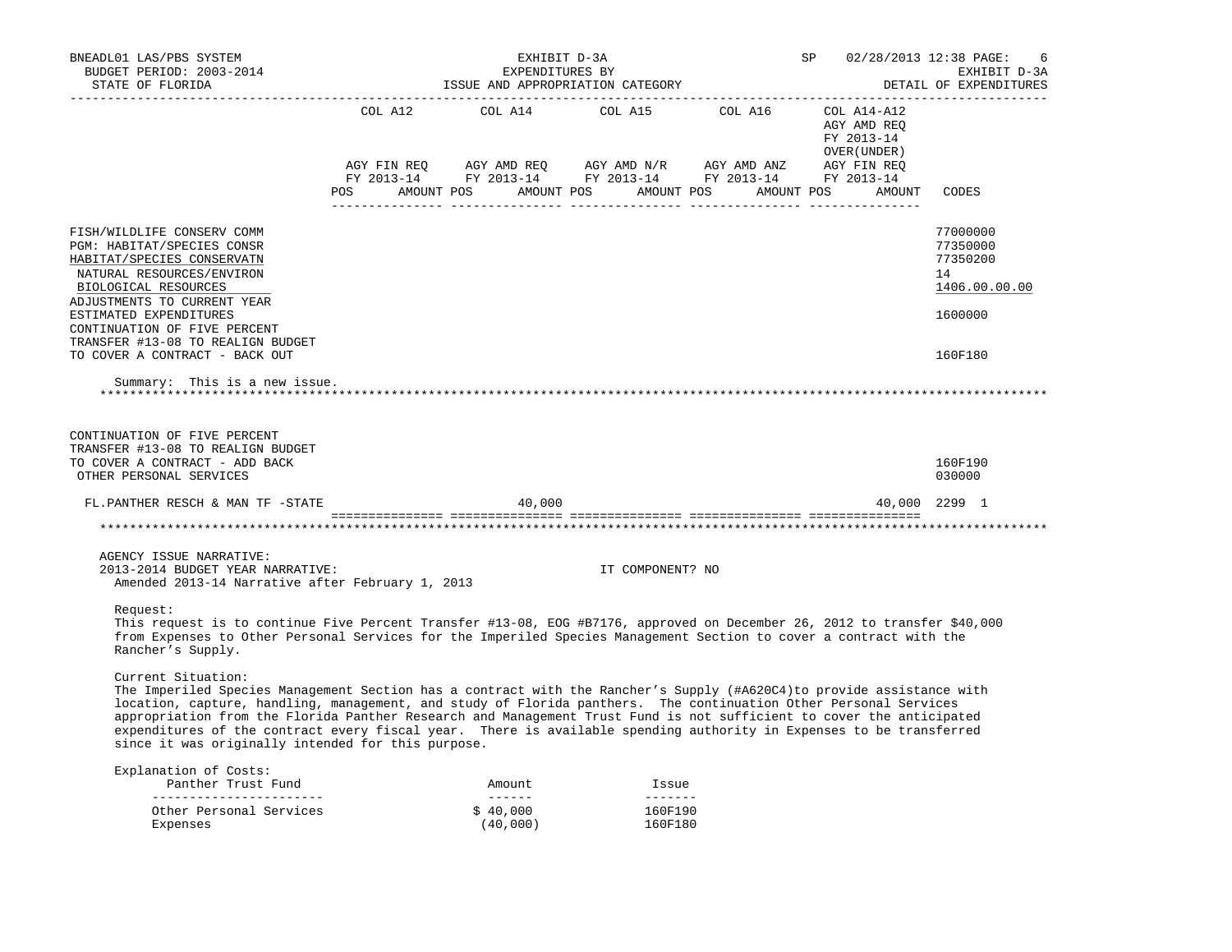| BNEADL01 LAS/PBS SYSTEM<br>BUDGET PERIOD: 2003-2014                                                                                                                                                                                                                                                                                                                                                                                                                                                                                                                  |                                                                                                                                                                                                                                                                                                                                                                                                                                         |                      | EXHIBIT D-3A<br>EXPENDITURES BY |                                                                                                                                                                                                                                                                                                                                                                                                                                                                                                              |  | SP |                                            |        | 02/28/2013 12:38 PAGE:<br>6<br>EXHIBIT D-3A             |
|----------------------------------------------------------------------------------------------------------------------------------------------------------------------------------------------------------------------------------------------------------------------------------------------------------------------------------------------------------------------------------------------------------------------------------------------------------------------------------------------------------------------------------------------------------------------|-----------------------------------------------------------------------------------------------------------------------------------------------------------------------------------------------------------------------------------------------------------------------------------------------------------------------------------------------------------------------------------------------------------------------------------------|----------------------|---------------------------------|--------------------------------------------------------------------------------------------------------------------------------------------------------------------------------------------------------------------------------------------------------------------------------------------------------------------------------------------------------------------------------------------------------------------------------------------------------------------------------------------------------------|--|----|--------------------------------------------|--------|---------------------------------------------------------|
| STATE OF FLORIDA                                                                                                                                                                                                                                                                                                                                                                                                                                                                                                                                                     |                                                                                                                                                                                                                                                                                                                                                                                                                                         |                      |                                 | ISSUE AND APPROPRIATION CATEGORY                                                                                                                                                                                                                                                                                                                                                                                                                                                                             |  |    |                                            |        | DETAIL OF EXPENDITURES                                  |
|                                                                                                                                                                                                                                                                                                                                                                                                                                                                                                                                                                      | COL A12<br>$\begin{array}{lllllll} \textsc{AGY} \textsc{ fin } \textsc{Reg} & \textsc{AGY} \textsc{ AND } \textsc{Reg} & \textsc{AGY} \textsc{ AND } \textsc{ N/R} & \textsc{ AGY} \textsc{ AND } \textsc{AND} & \textsc{ANZ} & \textsc{ AGY} \textsc{ Fin } \textsc{Reg} \\ \textsc{FY} \textsc{ 2013-14} & \textsc{FY} \textsc{ 2013-14} & \textsc{FY} \textsc{ 2013-14} & \textsc{FY} \textsc{ 2013-14} & \textsc{FY} \textsc{ 2013$ | COL A14              |                                 | $\text{COL}$ A15 $\text{COL}$ A16 $\text{COL}$ A14-A12                                                                                                                                                                                                                                                                                                                                                                                                                                                       |  |    | AGY AMD REQ<br>FY 2013-14<br>OVER (UNDER ) |        |                                                         |
|                                                                                                                                                                                                                                                                                                                                                                                                                                                                                                                                                                      | POS AMOUNT POS AMOUNT POS AMOUNT POS AMOUNT POS                                                                                                                                                                                                                                                                                                                                                                                         |                      |                                 |                                                                                                                                                                                                                                                                                                                                                                                                                                                                                                              |  |    |                                            | AMOUNT | CODES                                                   |
|                                                                                                                                                                                                                                                                                                                                                                                                                                                                                                                                                                      |                                                                                                                                                                                                                                                                                                                                                                                                                                         |                      |                                 |                                                                                                                                                                                                                                                                                                                                                                                                                                                                                                              |  |    |                                            |        |                                                         |
| FISH/WILDLIFE CONSERV COMM<br>PGM: HABITAT/SPECIES CONSR<br>HABITAT/SPECIES CONSERVATN<br>NATURAL RESOURCES/ENVIRON<br>BIOLOGICAL RESOURCES<br>ADJUSTMENTS TO CURRENT YEAR                                                                                                                                                                                                                                                                                                                                                                                           |                                                                                                                                                                                                                                                                                                                                                                                                                                         |                      |                                 |                                                                                                                                                                                                                                                                                                                                                                                                                                                                                                              |  |    |                                            |        | 77000000<br>77350000<br>77350200<br>14<br>1406.00.00.00 |
| ESTIMATED EXPENDITURES<br>CONTINUATION OF FIVE PERCENT<br>TRANSFER #13-08 TO REALIGN BUDGET                                                                                                                                                                                                                                                                                                                                                                                                                                                                          |                                                                                                                                                                                                                                                                                                                                                                                                                                         |                      |                                 |                                                                                                                                                                                                                                                                                                                                                                                                                                                                                                              |  |    |                                            |        | 1600000                                                 |
| TO COVER A CONTRACT - BACK OUT                                                                                                                                                                                                                                                                                                                                                                                                                                                                                                                                       |                                                                                                                                                                                                                                                                                                                                                                                                                                         |                      |                                 |                                                                                                                                                                                                                                                                                                                                                                                                                                                                                                              |  |    |                                            |        | 160F180                                                 |
| Summary: This is a new issue.                                                                                                                                                                                                                                                                                                                                                                                                                                                                                                                                        |                                                                                                                                                                                                                                                                                                                                                                                                                                         |                      |                                 |                                                                                                                                                                                                                                                                                                                                                                                                                                                                                                              |  |    |                                            |        |                                                         |
| CONTINUATION OF FIVE PERCENT<br>TRANSFER #13-08 TO REALIGN BUDGET                                                                                                                                                                                                                                                                                                                                                                                                                                                                                                    |                                                                                                                                                                                                                                                                                                                                                                                                                                         |                      |                                 |                                                                                                                                                                                                                                                                                                                                                                                                                                                                                                              |  |    |                                            |        |                                                         |
| TO COVER A CONTRACT - ADD BACK<br>OTHER PERSONAL SERVICES                                                                                                                                                                                                                                                                                                                                                                                                                                                                                                            |                                                                                                                                                                                                                                                                                                                                                                                                                                         |                      |                                 |                                                                                                                                                                                                                                                                                                                                                                                                                                                                                                              |  |    |                                            |        | 160F190<br>030000                                       |
| FL.PANTHER RESCH & MAN TF -STATE                                                                                                                                                                                                                                                                                                                                                                                                                                                                                                                                     |                                                                                                                                                                                                                                                                                                                                                                                                                                         |                      | 40,000                          |                                                                                                                                                                                                                                                                                                                                                                                                                                                                                                              |  |    |                                            |        | 40,000 2299 1                                           |
|                                                                                                                                                                                                                                                                                                                                                                                                                                                                                                                                                                      |                                                                                                                                                                                                                                                                                                                                                                                                                                         |                      |                                 |                                                                                                                                                                                                                                                                                                                                                                                                                                                                                                              |  |    |                                            |        |                                                         |
| AGENCY ISSUE NARRATIVE:<br>2013-2014 BUDGET YEAR NARRATIVE:<br>Amended 2013-14 Narrative after February 1, 2013                                                                                                                                                                                                                                                                                                                                                                                                                                                      |                                                                                                                                                                                                                                                                                                                                                                                                                                         |                      |                                 | IT COMPONENT? NO                                                                                                                                                                                                                                                                                                                                                                                                                                                                                             |  |    |                                            |        |                                                         |
| Request:<br>This request is to continue Five Percent Transfer #13-08, EOG #B7176, approved on December 26, 2012 to transfer \$40,000<br>from Expenses to Other Personal Services for the Imperiled Species Management Section to cover a contract with the<br>Rancher's Supply.                                                                                                                                                                                                                                                                                      |                                                                                                                                                                                                                                                                                                                                                                                                                                         |                      |                                 |                                                                                                                                                                                                                                                                                                                                                                                                                                                                                                              |  |    |                                            |        |                                                         |
| Current Situation:<br>The Imperiled Species Management Section has a contract with the Rancher's Supply (#A620C4)to provide assistance with<br>location, capture, handling, management, and study of Florida panthers. The continuation Other Personal Services<br>appropriation from the Florida Panther Research and Management Trust Fund is not sufficient to cover the anticipated<br>expenditures of the contract every fiscal year. There is available spending authority in Expenses to be transferred<br>since it was originally intended for this purpose. |                                                                                                                                                                                                                                                                                                                                                                                                                                         |                      |                                 |                                                                                                                                                                                                                                                                                                                                                                                                                                                                                                              |  |    |                                            |        |                                                         |
| Explanation of Costs:<br>Panther Trust Fund                                                                                                                                                                                                                                                                                                                                                                                                                                                                                                                          |                                                                                                                                                                                                                                                                                                                                                                                                                                         |                      | Amount                          | Issue                                                                                                                                                                                                                                                                                                                                                                                                                                                                                                        |  |    |                                            |        |                                                         |
| _________________________<br>Other Personal Services<br>Expenses                                                                                                                                                                                                                                                                                                                                                                                                                                                                                                     |                                                                                                                                                                                                                                                                                                                                                                                                                                         | \$40,000<br>(40,000) | --------                        | $\begin{array}{cccccccccc} \multicolumn{2}{c}{} & \multicolumn{2}{c}{} & \multicolumn{2}{c}{} & \multicolumn{2}{c}{} & \multicolumn{2}{c}{} & \multicolumn{2}{c}{} & \multicolumn{2}{c}{} & \multicolumn{2}{c}{} & \multicolumn{2}{c}{} & \multicolumn{2}{c}{} & \multicolumn{2}{c}{} & \multicolumn{2}{c}{} & \multicolumn{2}{c}{} & \multicolumn{2}{c}{} & \multicolumn{2}{c}{} & \multicolumn{2}{c}{} & \multicolumn{2}{c}{} & \multicolumn{2}{c}{} & \multicolumn{2}{c}{} & \mult$<br>160F190<br>160F180 |  |    |                                            |        |                                                         |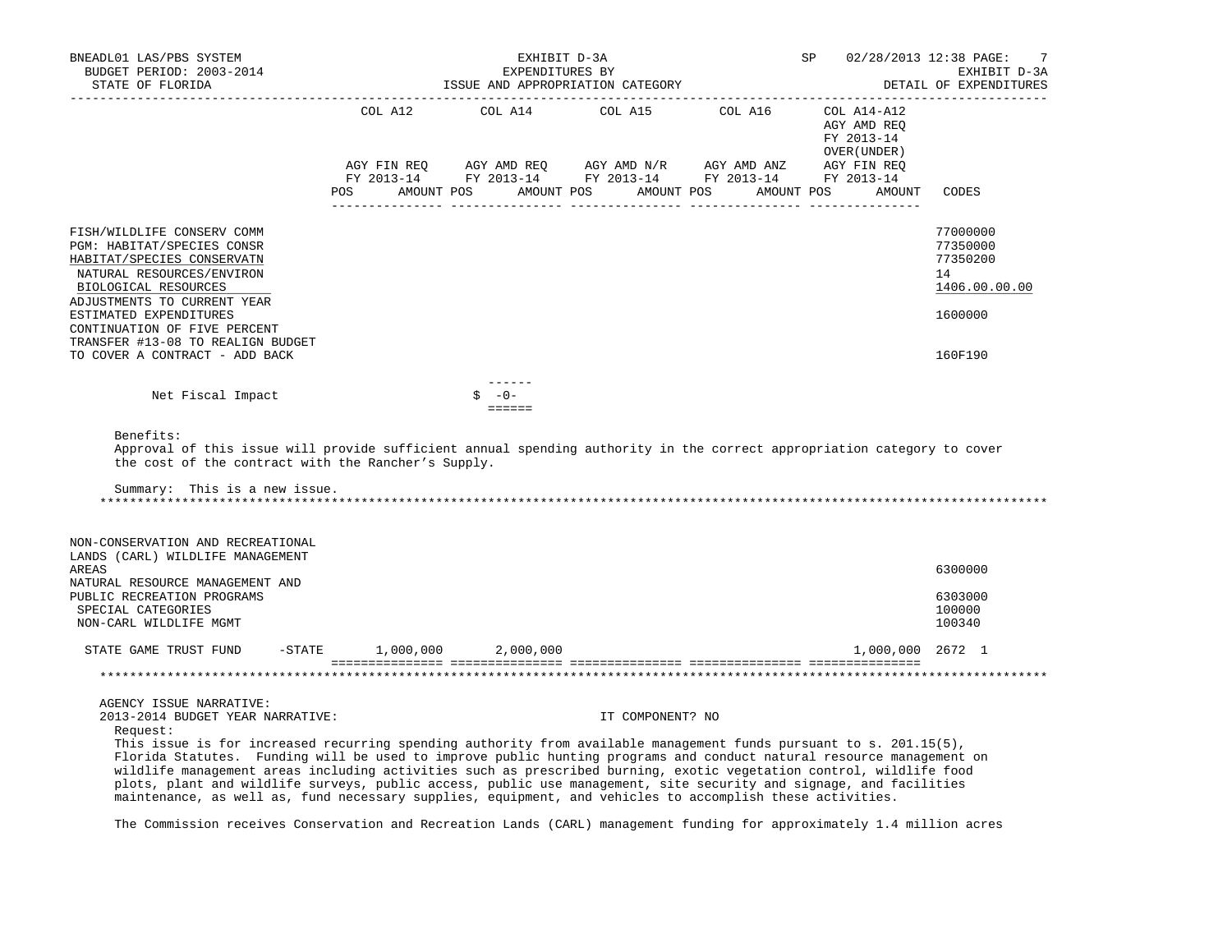|                                                                                                                                                                                                                                                                                                             |                | EXHIBIT D-3A<br>EXPENDITURES BY<br>ISSUE AND APPROPRIATION CATEGORY |                 | SP                                                                                | 02/28/2013 12:38 PAGE:<br>7<br>EXHIBIT D-3A<br>DETAIL OF EXPENDITURES         |
|-------------------------------------------------------------------------------------------------------------------------------------------------------------------------------------------------------------------------------------------------------------------------------------------------------------|----------------|---------------------------------------------------------------------|-----------------|-----------------------------------------------------------------------------------|-------------------------------------------------------------------------------|
|                                                                                                                                                                                                                                                                                                             | COL A12<br>POS | COL A14<br>AMOUNT POS AMOUNT POS AMOUNT POS AMOUNT POS              | COL A15 COL A16 | COL A14-A12<br>AGY AMD REQ<br>FY 2013-14<br>OVER (UNDER)<br>AGY FIN REQ<br>AMOUNT | CODES                                                                         |
| FISH/WILDLIFE CONSERV COMM<br>PGM: HABITAT/SPECIES CONSR<br>HABITAT/SPECIES CONSERVATN<br>NATURAL RESOURCES/ENVIRON<br>BIOLOGICAL RESOURCES<br>ADJUSTMENTS TO CURRENT YEAR<br>ESTIMATED EXPENDITURES<br>CONTINUATION OF FIVE PERCENT<br>TRANSFER #13-08 TO REALIGN BUDGET<br>TO COVER A CONTRACT - ADD BACK |                |                                                                     |                 |                                                                                   | 77000000<br>77350000<br>77350200<br>14<br>1406.00.00.00<br>1600000<br>160F190 |
| Net Fiscal Impact                                                                                                                                                                                                                                                                                           |                | $S - 0 -$<br>$=$ $=$ $=$ $=$ $=$                                    |                 |                                                                                   |                                                                               |
| Benefits:<br>Approval of this issue will provide sufficient annual spending authority in the correct appropriation category to cover<br>the cost of the contract with the Rancher's Supply.<br>Summary: This is a new issue.                                                                                |                |                                                                     |                 |                                                                                   |                                                                               |
|                                                                                                                                                                                                                                                                                                             |                |                                                                     |                 |                                                                                   |                                                                               |
| NON-CONSERVATION AND RECREATIONAL<br>LANDS (CARL) WILDLIFE MANAGEMENT<br>AREAS                                                                                                                                                                                                                              |                |                                                                     |                 |                                                                                   | 6300000                                                                       |
| NATURAL RESOURCE MANAGEMENT AND<br>PUBLIC RECREATION PROGRAMS<br>SPECIAL CATEGORIES<br>NON-CARL WILDLIFE MGMT                                                                                                                                                                                               |                |                                                                     |                 |                                                                                   | 6303000<br>100000<br>100340                                                   |
| $-$ STATE<br>STATE GAME TRUST FUND                                                                                                                                                                                                                                                                          | 1,000,000      | 2,000,000                                                           |                 | 1,000,000 2672 1                                                                  |                                                                               |
|                                                                                                                                                                                                                                                                                                             |                |                                                                     |                 |                                                                                   |                                                                               |

The Commission receives Conservation and Recreation Lands (CARL) management funding for approximately 1.4 million acres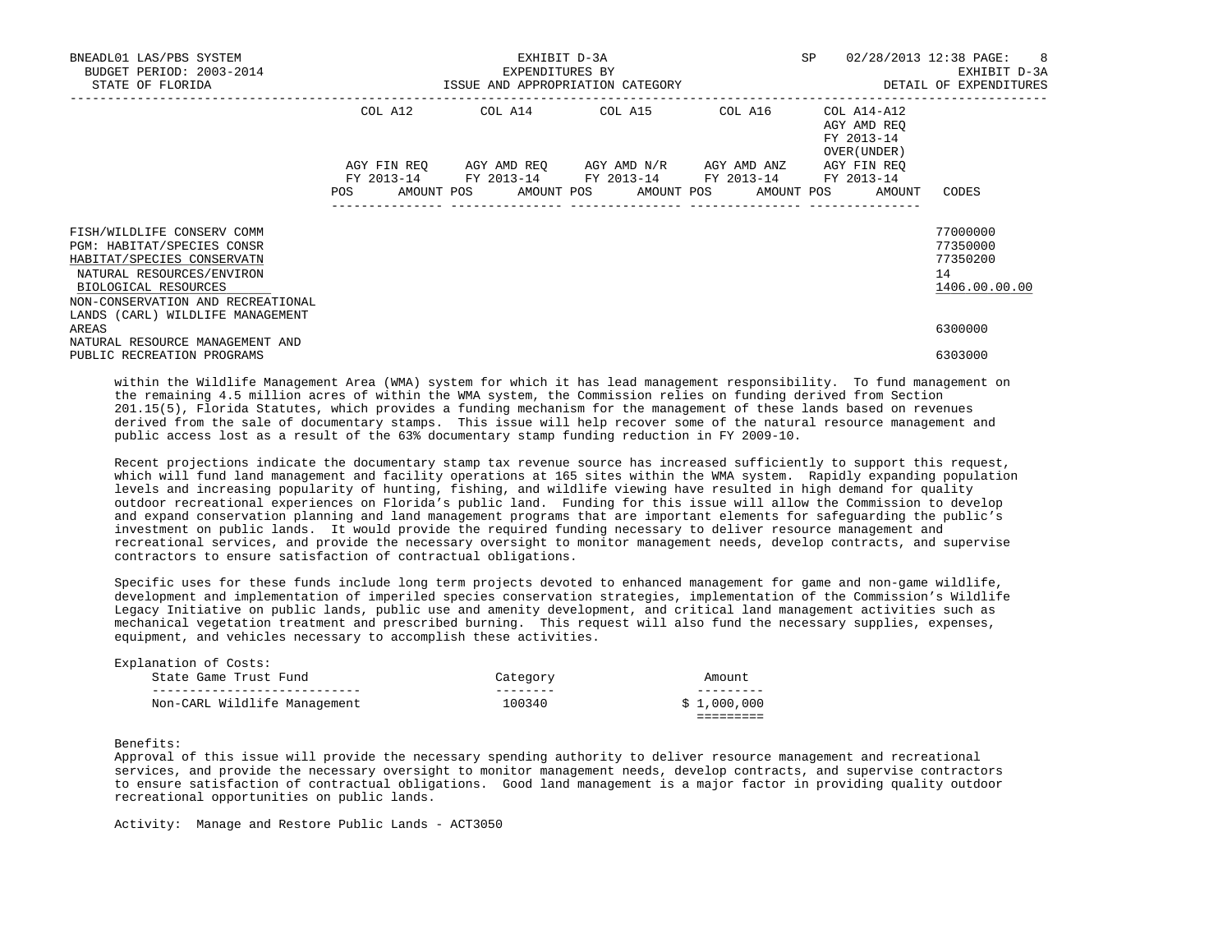| BNEADL01 LAS/PBS SYSTEM<br>BUDGET PERIOD: 2003-2014 | EXHIBIT D-3A<br>EXPENDITURES BY  |            |  |                                                                                                             |  |  |  |  |            | SP |                                                          | 02/28/2013 12:38 PAGE: 8<br>EXHIBIT D-3A |
|-----------------------------------------------------|----------------------------------|------------|--|-------------------------------------------------------------------------------------------------------------|--|--|--|--|------------|----|----------------------------------------------------------|------------------------------------------|
| STATE OF FLORIDA                                    | ISSUE AND APPROPRIATION CATEGORY |            |  |                                                                                                             |  |  |  |  |            |    | DETAIL OF EXPENDITURES                                   |                                          |
|                                                     | COL A12                          |            |  | COL A14 COL A15 COL A16                                                                                     |  |  |  |  |            |    | COL A14-A12<br>AGY AMD REO<br>FY 2013-14<br>OVER (UNDER) |                                          |
|                                                     | AGY FIN REO<br><b>POS</b>        | AMOUNT POS |  | AGY AMD REO AGY AMD N/R AGY AMD ANZ<br>FY 2013-14 FY 2013-14 FY 2013-14 FY 2013-14<br>AMOUNT POS AMOUNT POS |  |  |  |  | AMOUNT POS |    | AGY FIN REO<br>FY 2013-14<br>AMOUNT                      | CODES                                    |
|                                                     |                                  |            |  |                                                                                                             |  |  |  |  |            |    |                                                          |                                          |
| FISH/WILDLIFE CONSERV COMM                          |                                  |            |  |                                                                                                             |  |  |  |  |            |    |                                                          | 77000000                                 |
| PGM: HABITAT/SPECIES CONSR                          |                                  |            |  |                                                                                                             |  |  |  |  |            |    |                                                          | 77350000                                 |
| HABITAT/SPECIES CONSERVATN                          |                                  |            |  |                                                                                                             |  |  |  |  |            |    |                                                          | 77350200                                 |
| NATURAL RESOURCES/ENVIRON<br>BIOLOGICAL RESOURCES   |                                  |            |  |                                                                                                             |  |  |  |  |            |    |                                                          | 14<br>1406.00.00.00                      |
| NON-CONSERVATION AND RECREATIONAL                   |                                  |            |  |                                                                                                             |  |  |  |  |            |    |                                                          |                                          |
| LANDS (CARL) WILDLIFE MANAGEMENT                    |                                  |            |  |                                                                                                             |  |  |  |  |            |    |                                                          |                                          |
| AREAS                                               |                                  |            |  |                                                                                                             |  |  |  |  |            |    |                                                          | 6300000                                  |
| NATURAL RESOURCE MANAGEMENT AND                     |                                  |            |  |                                                                                                             |  |  |  |  |            |    |                                                          |                                          |
| PUBLIC RECREATION PROGRAMS                          |                                  |            |  |                                                                                                             |  |  |  |  |            |    |                                                          | 6303000                                  |

 within the Wildlife Management Area (WMA) system for which it has lead management responsibility. To fund management on the remaining 4.5 million acres of within the WMA system, the Commission relies on funding derived from Section 201.15(5), Florida Statutes, which provides a funding mechanism for the management of these lands based on revenues derived from the sale of documentary stamps. This issue will help recover some of the natural resource management and public access lost as a result of the 63% documentary stamp funding reduction in FY 2009-10.

 Recent projections indicate the documentary stamp tax revenue source has increased sufficiently to support this request, which will fund land management and facility operations at 165 sites within the WMA system. Rapidly expanding population levels and increasing popularity of hunting, fishing, and wildlife viewing have resulted in high demand for quality outdoor recreational experiences on Florida's public land. Funding for this issue will allow the Commission to develop and expand conservation planning and land management programs that are important elements for safeguarding the public's investment on public lands. It would provide the required funding necessary to deliver resource management and recreational services, and provide the necessary oversight to monitor management needs, develop contracts, and supervise contractors to ensure satisfaction of contractual obligations.

 Specific uses for these funds include long term projects devoted to enhanced management for game and non-game wildlife, development and implementation of imperiled species conservation strategies, implementation of the Commission's Wildlife Legacy Initiative on public lands, public use and amenity development, and critical land management activities such as mechanical vegetation treatment and prescribed burning. This request will also fund the necessary supplies, expenses, equipment, and vehicles necessary to accomplish these activities.

| Explanation of Costs:<br>State Game Trust Fund | Category | Amount      |
|------------------------------------------------|----------|-------------|
| Non-CARL Wildlife Management                   | 100340   | \$1,000,000 |

Benefits:

 Approval of this issue will provide the necessary spending authority to deliver resource management and recreational services, and provide the necessary oversight to monitor management needs, develop contracts, and supervise contractors to ensure satisfaction of contractual obligations. Good land management is a major factor in providing quality outdoor recreational opportunities on public lands.

Activity: Manage and Restore Public Lands - ACT3050